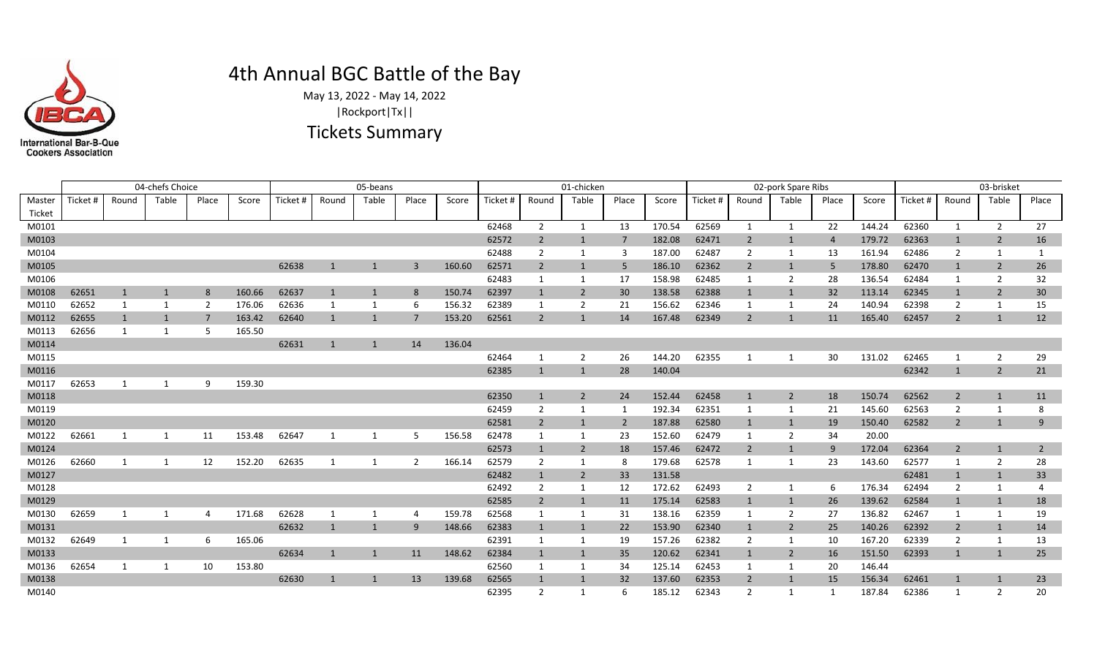

## 4th Annual BGC Battle of the Bay

May 13, 2022 - May 14, 2022 Tickets Summary |Rockport|Tx||

Master Ticket Ticket # | Round | Table | Place | Score | Ticket # | Round | Table | Score | Ticket # | Round | Table | Place | Score | Score | Ticket # | Round | Table | Place | Score | Ticket # | Round | Table | Place | Score | Ticket 04-chefs Choice 03-brisket 05-beans 01-chicken 02-pork Spare Ribs M0140 62395 2 1 6 185.12 62343 2 1 1 187.84 62386 1 2 20 M0138 62630 1 1 13 139.68 62565 1 1 32 137.60 62353 2 1 15 156.34 62461 1 1 23 M0136 62654 1 1 10 153.80 62560 1 1 34 125.14 62453 1 1 20 146.44 M0133 62634 1 1 11 148.62 62384 1 1 35 120.62 62341 1 2 16 151.50 62393 1 1 25 M0132 62649 1 1 6 165.06 62391 1 1 19 157.26 62382 2 1 10 167.20 62339 2 1 13 M0131 62632 1 1 9 148.66 62383 1 1 22 153.90 62340 1 2 25 140.26 62392 2 1 14 M0130 62659 1 1 4 171.68 62628 1 1 4 159.78 62568 1 1 31 138.16 62359 1 2 27 136.82 62467 1 1 19 M0129 62585 2 1 11 175.14 62583 1 1 26 139.62 62584 1 1 18 M0128 62492 2 1 12 172.62 62493 2 1 6 176.34 62494 2 1 4 M0127 62482 1 2 33 131.58 62481 1 1 33 M0126 62660 1 1 12 152.20 62635 1 1 2 166.14 62579 2 1 8 179.68 62578 1 1 23 143.60 62577 1 2 28 M0124 62573 1 2 18 157.46 62472 2 1 9 172.04 62364 2 1 2 M0122 62661 1 1 11 153.48 62647 1 1 5 156.58 62478 1 1 23 152.60 62479 1 2 34 20.00 M0120 62581 2 1 2 187.88 62580 1 1 19 150.40 62582 2 1 9 M0119 62459 2 1 1 192.34 62351 1 1 21 145.60 62563 2 1 8 M0118 62350 1 2 24 152.44 62458 1 2 18 150.74 62562 2 1 11 M0117 62653 1 1 9 159.30 M0116 62385 1 1 28 140.04 62342 1 2 21 M0115 62464 1 2 26 144.20 62355 1 1 30 131.02 62465 1 2 29 M0114 62631 1 14 136.04 M0113 62656 1 1 5 165.50 M0112 62655 1 1 7 163.42 62640 1 1 7 153.20 62561 2 1 14 167.48 62349 2 1 11 165.40 62457 2 1 12 M0110 62652 1 1 2 176.06 62636 1 1 6 156.32 62389 1 2 21 156.62 62346 1 1 24 140.94 62398 2 1 15 M0108 62651 1 1 8 160.66 62637 1 1 8 150.74 62397 1 2 30 138.58 62388 1 1 32 113.14 62345 1 2 30 M0106 62483 1 1 17 158.98 62485 1 2 28 136.54 62484 1 2 32 M0105 62638 1 1 3 160.60 62571 2 1 5 186.10 62362 2 1 5 178.80 62470 1 2 26 M0104 62488 2 1 3 187.00 62487 2 1 13 161.94 62486 2 1 1 M0103 62572 2 1 7 182.08 62471 2 1 4 179.72 62363 1 2 16 M0101 62468 2 1 13 170.54 62569 1 1 22 144.24 62360 1 2 27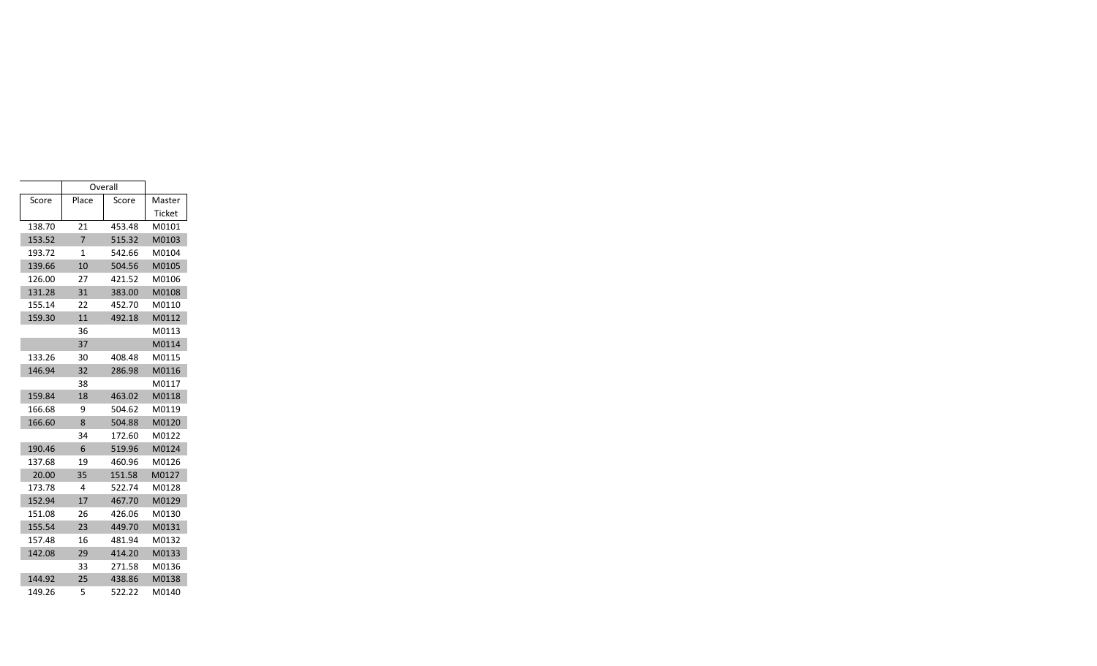|        | Overall        |        |        |
|--------|----------------|--------|--------|
| Score  | Place          | Score  | Master |
|        |                |        | Ticket |
| 138.70 | 21             | 453.48 | M0101  |
| 153.52 | $\overline{7}$ | 515.32 | M0103  |
| 193.72 | $\mathbf{1}$   | 542.66 | M0104  |
| 139.66 | 10             | 504.56 | M0105  |
| 126.00 | 27             | 421.52 | M0106  |
| 131.28 | 31             | 383.00 | M0108  |
| 155.14 | 22             | 452.70 | M0110  |
| 159.30 | 11             | 492.18 | M0112  |
|        | 36             |        | M0113  |
|        | 37             |        | M0114  |
| 133.26 | 30             | 408.48 | M0115  |
| 146.94 | 32             | 286.98 | M0116  |
|        | 38             |        | M0117  |
| 159.84 | 18             | 463.02 | M0118  |
| 166.68 | 9              | 504.62 | M0119  |
| 166.60 | 8              | 504.88 | M0120  |
|        | 34             | 172.60 | M0122  |
| 190.46 | 6              | 519.96 | M0124  |
| 137.68 | 19             | 460.96 | M0126  |
| 20.00  | 35             | 151.58 | M0127  |
| 173.78 | 4              | 522.74 | M0128  |
| 152.94 | 17             | 467.70 | M0129  |
| 151.08 | 26             | 426.06 | M0130  |
| 155.54 | 23             | 449.70 | M0131  |
| 157.48 | 16             | 481.94 | M0132  |
| 142.08 | 29             | 414.20 | M0133  |
|        | 33             | 271.58 | M0136  |
| 144.92 | 25             | 438.86 | M0138  |
| 149.26 | 5              | 522.22 | M0140  |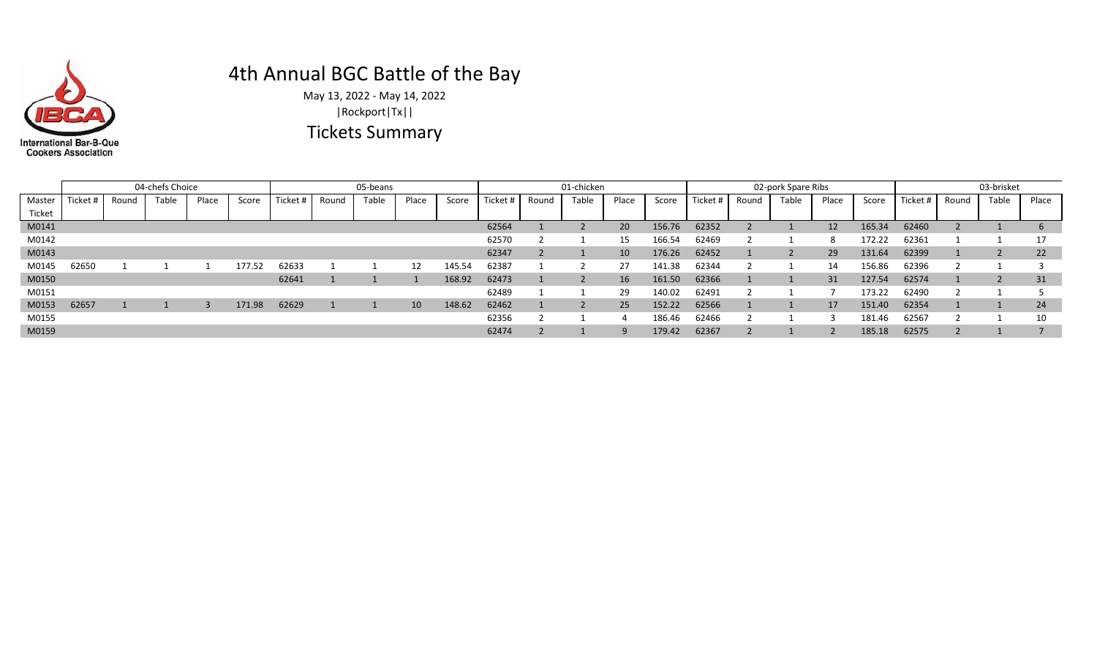

## 4th Annual BGC Battle of the Bay

May 13, 2022 - May 14, 2022 Tickets Summary |Rockport|Tx||

|            |          |        | 04-chefs Choice |       |       |          |        | 05-beans |       |       |          | 01-chicken |        |       |  |
|------------|----------|--------|-----------------|-------|-------|----------|--------|----------|-------|-------|----------|------------|--------|-------|--|
| Master     | Ticket # | Round  | Table           | Place | Score | Ticket # | Round  | Table    | Place | Score | Ticket # | Round      | Table  | Place |  |
| Ticket     |          |        |                 |       |       |          |        |          |       |       |          |            |        |       |  |
| M0141      |          |        |                 |       |       |          |        |          |       |       | 62564    | -          | ∠      | 20    |  |
| M0142      |          |        |                 |       |       |          |        |          |       |       | 62570    |            |        | 15    |  |
| M0143      |          |        |                 |       |       |          |        |          |       |       | 62347    |            |        | 10    |  |
| . <u>.</u> | -----    | $\sim$ | $\sim$          |       | ----- | -----    | $\sim$ | $\sim$   | .     | .     | -----    |            | $\sim$ | $-$   |  |

|        |          |       | 04-chefs Choice |       |        | 05-beans |       |       |       |        | 01-chicken |       |       |                 | 02-pork Spare Ribs |          |       |       | 03-brisket |        |          |       |       |                 |
|--------|----------|-------|-----------------|-------|--------|----------|-------|-------|-------|--------|------------|-------|-------|-----------------|--------------------|----------|-------|-------|------------|--------|----------|-------|-------|-----------------|
| Master | Ticket # | Round | Table           | Place | Score  | Ticket + | Round | Table | Place | Score  | Ticket #   | Round | Table | Place           | Score              | Ticket # | Round | Table | Place      | Score  | Ticket # | Round | Table | Place           |
| Ticket |          |       |                 |       |        |          |       |       |       |        |            |       |       |                 |                    |          |       |       |            |        |          |       |       |                 |
| M0141  |          |       |                 |       |        |          |       |       |       |        | 62564      |       |       | 20              | 156.76             | 62352    |       |       | 12         | 165.34 | 62460    |       |       | $\mathbf b$     |
| M0142  |          |       |                 |       |        |          |       |       |       |        | 62570      |       |       | 15              | 166.54             | 62469    |       |       | 8          | 172.22 | 62361    |       |       |                 |
| M0143  |          |       |                 |       |        |          |       |       |       |        | 62347      |       |       | 10              | 176.26             | 62452    |       |       | 29         | 131.64 | 62399    |       |       | 22              |
| M0145  | 62650    |       |                 |       | 177.52 | 62633    |       |       | 12    | 145.54 | 62387      |       |       | 27              | 141.38             | 62344    |       |       | 14         | 156.86 | 62396    |       |       |                 |
| M0150  |          |       |                 |       |        | 62641    |       |       |       | 168.92 | 62473      |       |       | 16 <sup>°</sup> | 161.50             | 62366    |       |       | 31         | 127.54 | 62574    |       |       | 31              |
| M0151  |          |       |                 |       |        |          |       |       |       |        | 62489      |       |       | 29              | 140.02             | 62491    |       |       |            | 173.22 | 62490    |       |       |                 |
| M0153  | 62657    |       |                 |       | 171.98 | 62629    |       |       | 10    | 148.62 | 62462      |       |       | 25              | 152.22             | 62566    |       |       | 17         | 151.40 | 62354    |       |       | 24 <sup>1</sup> |
| M0155  |          |       |                 |       |        |          |       |       |       |        | 62356      |       |       |                 | 186.46             | 62466    |       |       |            | 181.46 | 62567    |       |       | 10              |
| M0159  |          |       |                 |       |        |          |       |       |       |        | 62474      |       |       |                 | 179.42             | 62367    |       |       |            | 185.18 | 62575    |       |       |                 |